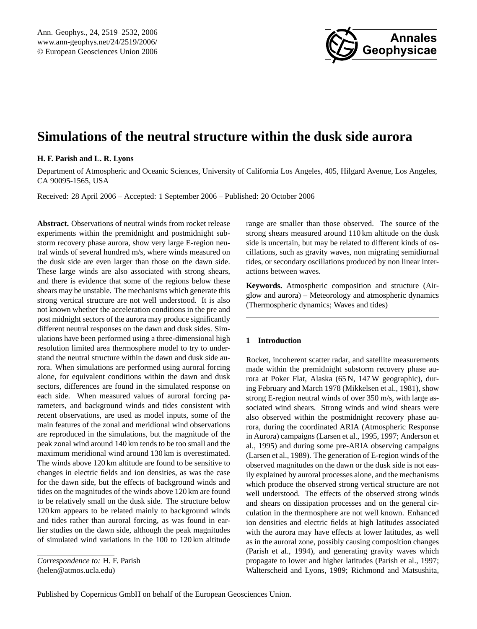

# **Simulations of the neutral structure within the dusk side aurora**

# **H. F. Parish and L. R. Lyons**

Department of Atmospheric and Oceanic Sciences, University of California Los Angeles, 405, Hilgard Avenue, Los Angeles, CA 90095-1565, USA

Received: 28 April 2006 – Accepted: 1 September 2006 – Published: 20 October 2006

**Abstract.** Observations of neutral winds from rocket release experiments within the premidnight and postmidnight substorm recovery phase aurora, show very large E-region neutral winds of several hundred m/s, where winds measured on the dusk side are even larger than those on the dawn side. These large winds are also associated with strong shears, and there is evidence that some of the regions below these shears may be unstable. The mechanisms which generate this strong vertical structure are not well understood. It is also not known whether the acceleration conditions in the pre and post midnight sectors of the aurora may produce significantly different neutral responses on the dawn and dusk sides. Simulations have been performed using a three-dimensional high resolution limited area thermosphere model to try to understand the neutral structure within the dawn and dusk side aurora. When simulations are performed using auroral forcing alone, for equivalent conditions within the dawn and dusk sectors, differences are found in the simulated response on each side. When measured values of auroral forcing parameters, and background winds and tides consistent with recent observations, are used as model inputs, some of the main features of the zonal and meridional wind observations are reproduced in the simulations, but the magnitude of the peak zonal wind around 140 km tends to be too small and the maximum meridional wind around 130 km is overestimated. The winds above 120 km altitude are found to be sensitive to changes in electric fields and ion densities, as was the case for the dawn side, but the effects of background winds and tides on the magnitudes of the winds above 120 km are found to be relatively small on the dusk side. The structure below 120 km appears to be related mainly to background winds and tides rather than auroral forcing, as was found in earlier studies on the dawn side, although the peak magnitudes of simulated wind variations in the 100 to 120 km altitude

<span id="page-0-0"></span>*Correspondence to:* H. F. Parish (helen@atmos.ucla.edu)

range are smaller than those observed. The source of the strong shears measured around 110 km altitude on the dusk side is uncertain, but may be related to different kinds of oscillations, such as gravity waves, non migrating semidiurnal tides, or secondary oscillations produced by non linear interactions between waves.

**Keywords.** Atmospheric composition and structure (Airglow and aurora) – Meteorology and atmospheric dynamics (Thermospheric dynamics; Waves and tides)

# **1 Introduction**

Rocket, incoherent scatter radar, and satellite measurements made within the premidnight substorm recovery phase aurora at Poker Flat, Alaska (65 N, 147 W geographic), during February and March 1978 (Mikkelsen et al., 1981), show strong E-region neutral winds of over 350 m/s, with large associated wind shears. Strong winds and wind shears were also observed within the postmidnight recovery phase aurora, during the coordinated ARIA (Atmospheric Response in Aurora) campaigns (Larsen et al., 1995, 1997; Anderson et al., 1995) and during some pre-ARIA observing campaigns (Larsen et al., 1989). The generation of E-region winds of the observed magnitudes on the dawn or the dusk side is not easily explained by auroral processes alone, and the mechanisms which produce the observed strong vertical structure are not well understood. The effects of the observed strong winds and shears on dissipation processes and on the general circulation in the thermosphere are not well known. Enhanced ion densities and electric fields at high latitudes associated with the aurora may have effects at lower latitudes, as well as in the auroral zone, possibly causing composition changes (Parish et al., 1994), and generating gravity waves which propagate to lower and higher latitudes (Parish et al., 1997; Walterscheid and Lyons, 1989; Richmond and Matsushita,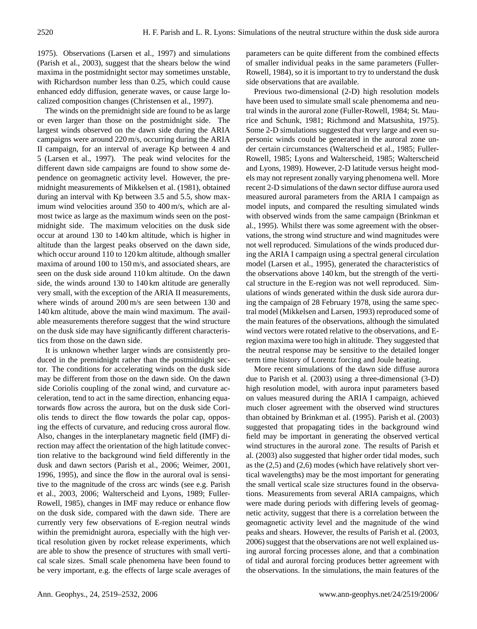1975). Observations (Larsen et al., 1997) and simulations (Parish et al., 2003), suggest that the shears below the wind maxima in the postmidnight sector may sometimes unstable, with Richardson number less than 0.25, which could cause enhanced eddy diffusion, generate waves, or cause large localized composition changes (Christensen et al., 1997).

The winds on the premidnight side are found to be as large or even larger than those on the postmidnight side. The largest winds observed on the dawn side during the ARIA campaigns were around 220 m/s, occurring during the ARIA II campaign, for an interval of average Kp between 4 and 5 (Larsen et al., 1997). The peak wind velocites for the different dawn side campaigns are found to show some dependence on geomagnetic activity level. However, the premidnight measurements of Mikkelsen et al. (1981), obtained during an interval with Kp between 3.5 and 5.5, show maximum wind velocities around 350 to 400 m/s, which are almost twice as large as the maximum winds seen on the postmidnight side. The maximum velocities on the dusk side occur at around 130 to 140 km altitude, which is higher in altitude than the largest peaks observed on the dawn side, which occur around 110 to 120 km altitude, although smaller maxima of around 100 to 150 m/s, and associated shears, are seen on the dusk side around 110 km altitude. On the dawn side, the winds around 130 to 140 km altitude are generally very small, with the exception of the ARIA II measurements, where winds of around 200 m/s are seen between 130 and 140 km altitude, above the main wind maximum. The available measurements therefore suggest that the wind structure on the dusk side may have significantly different characteristics from those on the dawn side.

It is unknown whether larger winds are consistently produced in the premidnight rather than the postmidnight sector. The conditions for accelerating winds on the dusk side may be different from those on the dawn side. On the dawn side Coriolis coupling of the zonal wind, and curvature acceleration, tend to act in the same direction, enhancing equatorwards flow across the aurora, but on the dusk side Coriolis tends to direct the flow towards the polar cap, opposing the effects of curvature, and reducing cross auroral flow. Also, changes in the interplanetary magnetic field (IMF) direction may affect the orientation of the high latitude convection relative to the background wind field differently in the dusk and dawn sectors (Parish et al., 2006; Weimer, 2001, 1996, 1995), and since the flow in the auroral oval is sensitive to the magnitude of the cross arc winds (see e.g. Parish et al., 2003, 2006; Walterscheid and Lyons, 1989; Fuller-Rowell, 1985), changes in IMF may reduce or enhance flow on the dusk side, compared with the dawn side. There are currently very few observations of E-region neutral winds within the premidnight aurora, especially with the high vertical resolution given by rocket release experiments, which are able to show the presence of structures with small vertical scale sizes. Small scale phenomena have been found to be very important, e.g. the effects of large scale averages of parameters can be quite different from the combined effects of smaller individual peaks in the same parameters (Fuller-Rowell, 1984), so it is important to try to understand the dusk side observations that are available.

Previous two-dimensional (2-D) high resolution models have been used to simulate small scale phenomema and neutral winds in the auroral zone (Fuller-Rowell, 1984; St. Maurice and Schunk, 1981; Richmond and Matsushita, 1975). Some 2-D simulations suggested that very large and even supersonic winds could be generated in the auroral zone under certain circumstances (Walterscheid et al., 1985; Fuller-Rowell, 1985; Lyons and Walterscheid, 1985; Walterscheid and Lyons, 1989). However, 2-D latitude versus height models may not represent zonally varying phenomena well. More recent 2-D simulations of the dawn sector diffuse aurora used measured auroral parameters from the ARIA I campaign as model inputs, and compared the resulting simulated winds with observed winds from the same campaign (Brinkman et al., 1995). Whilst there was some agreement with the observations, the strong wind structure and wind magnitudes were not well reproduced. Simulations of the winds produced during the ARIA I campaign using a spectral general circulation model (Larsen et al., 1995), generated the characteristics of the observations above 140 km, but the strength of the vertical structure in the E-region was not well reproduced. Simulations of winds generated within the dusk side aurora during the campaign of 28 February 1978, using the same spectral model (Mikkelsen and Larsen, 1993) reproduced some of the main features of the observations, although the simulated wind vectors were rotated relative to the observations, and Eregion maxima were too high in altitude. They suggested that the neutral response may be sensitive to the detailed longer term time history of Lorentz forcing and Joule heating.

More recent simulations of the dawn side diffuse aurora due to Parish et al. (2003) using a three-dimensional (3-D) high resolution model, with aurora input parameters based on values measured during the ARIA I campaign, achieved much closer agreement with the observed wind structures than obtained by Brinkman et al. (1995). Parish et al. (2003) suggested that propagating tides in the background wind field may be important in generating the observed vertical wind structures in the auroral zone. The results of Parish et al. (2003) also suggested that higher order tidal modes, such as the (2,5) and (2,6) modes (which have relatively short vertical wavelengths) may be the most important for generating the small vertical scale size structures found in the observations. Measurements from several ARIA campaigns, which were made during periods with differing levels of geomagnetic activity, suggest that there is a correlation between the geomagnetic activity level and the magnitude of the wind peaks and shears. However, the results of Parish et al. (2003, 2006) suggest that the observations are not well explained using auroral forcing processes alone, and that a combination of tidal and auroral forcing produces better agreement with the observations. In the simulations, the main features of the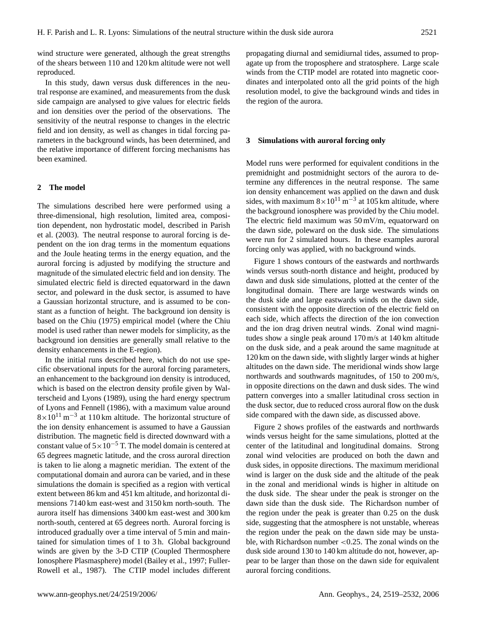wind structure were generated, although the great strengths of the shears between 110 and 120 km altitude were not well reproduced.

In this study, dawn versus dusk differences in the neutral response are examined, and measurements from the dusk side campaign are analysed to give values for electric fields and ion densities over the period of the observations. The sensitivity of the neutral response to changes in the electric field and ion density, as well as changes in tidal forcing parameters in the background winds, has been determined, and the relative importance of different forcing mechanisms has been examined.

## **2 The model**

The simulations described here were performed using a three-dimensional, high resolution, limited area, composition dependent, non hydrostatic model, described in Parish et al. (2003). The neutral response to auroral forcing is dependent on the ion drag terms in the momentum equations and the Joule heating terms in the energy equation, and the auroral forcing is adjusted by modifying the structure and magnitude of the simulated electric field and ion density. The simulated electric field is directed equatorward in the dawn sector, and poleward in the dusk sector, is assumed to have a Gaussian horizontal structure, and is assumed to be constant as a function of height. The background ion density is based on the Chiu (1975) empirical model (where the Chiu model is used rather than newer models for simplicity, as the background ion densities are generally small relative to the density enhancements in the E-region).

In the initial runs described here, which do not use specific observational inputs for the auroral forcing parameters, an enhancement to the background ion density is introduced, which is based on the electron density profile given by Walterscheid and Lyons (1989), using the hard energy spectrum of Lyons and Fennell (1986), with a maximum value around  $8 \times 10^{11}$  m<sup>-3</sup> at 110 km altitude. The horizontal structure of the ion density enhancement is assumed to have a Gaussian distribution. The magnetic field is directed downward with a constant value of  $5\times10^{-5}$  T. The model domain is centered at 65 degrees magnetic latitude, and the cross auroral direction is taken to lie along a magnetic meridian. The extent of the computational domain and aurora can be varied, and in these simulations the domain is specified as a region with vertical extent between 86 km and 451 km altitude, and horizontal dimensions 7140 km east-west and 3150 km north-south. The aurora itself has dimensions 3400 km east-west and 300 km north-south, centered at 65 degrees north. Auroral forcing is introduced gradually over a time interval of 5 min and maintained for simulation times of 1 to 3 h. Global background winds are given by the 3-D CTIP (Coupled Thermosphere Ionosphere Plasmasphere) model (Bailey et al., 1997; Fuller-Rowell et al., 1987). The CTIP model includes different propagating diurnal and semidiurnal tides, assumed to propagate up from the troposphere and stratosphere. Large scale winds from the CTIP model are rotated into magnetic coordinates and interpolated onto all the grid points of the high resolution model, to give the background winds and tides in the region of the aurora.

#### **3 Simulations with auroral forcing only**

Model runs were performed for equivalent conditions in the premidnight and postmidnight sectors of the aurora to determine any differences in the neutral response. The same ion density enhancement was applied on the dawn and dusk sides, with maximum  $8 \times 10^{11}$  m<sup>-3</sup> at 105 km altitude, where the background ionosphere was provided by the Chiu model. The electric field maximum was 50 mV/m, equatorward on the dawn side, poleward on the dusk side. The simulations were run for 2 simulated hours. In these examples auroral forcing only was applied, with no background winds.

Figure 1 shows contours of the eastwards and northwards winds versus south-north distance and height, produced by dawn and dusk side simulations, plotted at the center of the longitudinal domain. There are large westwards winds on the dusk side and large eastwards winds on the dawn side, consistent with the opposite direction of the electric field on each side, which affects the direction of the ion convection and the ion drag driven neutral winds. Zonal wind magnitudes show a single peak around 170 m/s at 140 km altitude on the dusk side, and a peak around the same magnitude at 120 km on the dawn side, with slightly larger winds at higher altitudes on the dawn side. The meridional winds show large northwards and southwards magnitudes, of 150 to 200 m/s, in opposite directions on the dawn and dusk sides. The wind pattern converges into a smaller latitudinal cross section in the dusk sector, due to reduced cross auroral flow on the dusk side compared with the dawn side, as discussed above.

Figure 2 shows profiles of the eastwards and northwards winds versus height for the same simulations, plotted at the center of the latitudinal and longitudinal domains. Strong zonal wind velocities are produced on both the dawn and dusk sides, in opposite directions. The maximum meridional wind is larger on the dusk side and the altitude of the peak in the zonal and meridional winds is higher in altitude on the dusk side. The shear under the peak is stronger on the dawn side than the dusk side. The Richardson number of the region under the peak is greater than 0.25 on the dusk side, suggesting that the atmosphere is not unstable, whereas the region under the peak on the dawn side may be unstable, with Richardson number <0.25. The zonal winds on the dusk side around 130 to 140 km altitude do not, however, appear to be larger than those on the dawn side for equivalent auroral forcing conditions.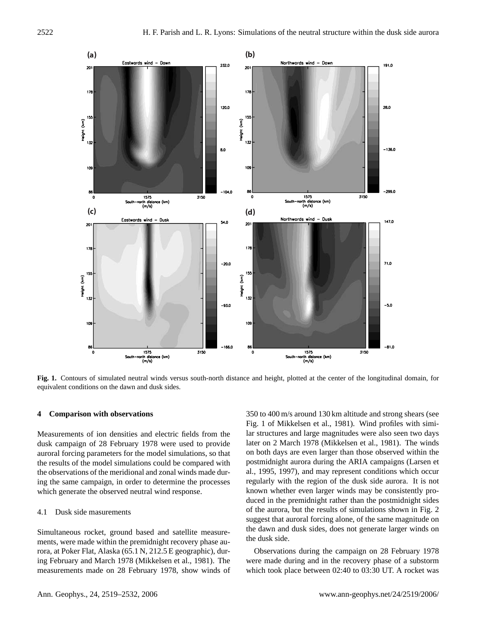

**Fig. 1.** Contours of simulated neutral winds versus south-north distance and height, plotted at the center of the longitudinal domain, for equivalent conditions on the dawn and dusk sides.

#### **4 Comparison with observations**

Measurements of ion densities and electric fields from the dusk campaign of 28 February 1978 were used to provide auroral forcing parameters for the model simulations, so that the results of the model simulations could be compared with the observations of the meridional and zonal winds made during the same campaign, in order to determine the processes which generate the observed neutral wind response.

## 4.1 Dusk side masurements

Simultaneous rocket, ground based and satellite measurements, were made within the premidnight recovery phase aurora, at Poker Flat, Alaska (65.1 N, 212.5 E geographic), during February and March 1978 (Mikkelsen et al., 1981). The measurements made on 28 February 1978, show winds of 350 to 400 m/s around 130 km altitude and strong shears (see Fig. 1 of Mikkelsen et al., 1981). Wind profiles with similar structures and large magnitudes were also seen two days later on 2 March 1978 (Mikkelsen et al., 1981). The winds on both days are even larger than those observed within the postmidnight aurora during the ARIA campaigns (Larsen et al., 1995, 1997), and may represent conditions which occur regularly with the region of the dusk side aurora. It is not known whether even larger winds may be consistently produced in the premidnight rather than the postmidnight sides of the aurora, but the results of simulations shown in Fig. 2 suggest that auroral forcing alone, of the same magnitude on the dawn and dusk sides, does not generate larger winds on the dusk side.

Observations during the campaign on 28 February 1978 were made during and in the recovery phase of a substorm which took place between 02:40 to 03:30 UT. A rocket was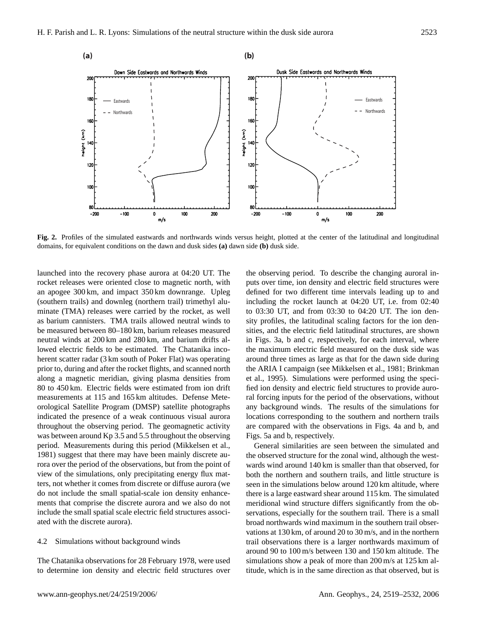

**Fig. 2.** Profiles of the simulated eastwards and northwards winds versus height, plotted at the center of the latitudinal and longitudinal domains, for equivalent conditions on the dawn and dusk sides **(a)** dawn side **(b)** dusk side.

launched into the recovery phase aurora at 04:20 UT. The rocket releases were oriented close to magnetic north, with an apogee 300 km, and impact 350 km downrange. Upleg (southern trails) and downleg (northern trail) trimethyl aluminate (TMA) releases were carried by the rocket, as well as barium cannisters. TMA trails allowed neutral winds to be measured between 80–180 km, barium releases measured neutral winds at 200 km and 280 km, and barium drifts allowed electric fields to be estimated. The Chatanika incoherent scatter radar (3 km south of Poker Flat) was operating prior to, during and after the rocket flights, and scanned north along a magnetic meridian, giving plasma densities from 80 to 450 km. Electric fields were estimated from ion drift measurements at 115 and 165 km altitudes. Defense Meteorological Satellite Program (DMSP) satellite photographs indicated the presence of a weak continuous visual aurora throughout the observing period. The geomagnetic activity was between around Kp 3.5 and 5.5 throughout the observing period. Measurements during this period (Mikkelsen et al., 1981) suggest that there may have been mainly discrete aurora over the period of the observations, but from the point of view of the simulations, only precipitating energy flux matters, not whether it comes from discrete or diffuse aurora (we do not include the small spatial-scale ion density enhancements that comprise the discrete aurora and we also do not include the small spatial scale electric field structures associated with the discrete aurora).

# 4.2 Simulations without background winds

The Chatanika observations for 28 February 1978, were used to determine ion density and electric field structures over the observing period. To describe the changing auroral inputs over time, ion density and electric field structures were defined for two different time intervals leading up to and including the rocket launch at 04:20 UT, i.e. from 02:40 to 03:30 UT, and from 03:30 to 04:20 UT. The ion density profiles, the latitudinal scaling factors for the ion densities, and the electric field latitudinal structures, are shown in Figs. 3a, b and c, respectively, for each interval, where the maximum electric field measured on the dusk side was around three times as large as that for the dawn side during the ARIA I campaign (see Mikkelsen et al., 1981; Brinkman et al., 1995). Simulations were performed using the specified ion density and electric field structures to provide auroral forcing inputs for the period of the observations, without any background winds. The results of the simulations for locations corresponding to the southern and northern trails are compared with the observations in Figs. 4a and b, and Figs. 5a and b, respectively.

General similarities are seen between the simulated and the observed structure for the zonal wind, although the westwards wind around 140 km is smaller than that observed, for both the northern and southern trails, and little structure is seen in the simulations below around 120 km altitude, where there is a large eastward shear around 115 km. The simulated meridional wind structure differs significantly from the observations, especially for the southern trail. There is a small broad northwards wind maximum in the southern trail observations at 130 km, of around 20 to 30 m/s, and in the northern trail observations there is a larger northwards maximum of around 90 to 100 m/s between 130 and 150 km altitude. The simulations show a peak of more than 200 m/s at 125 km altitude, which is in the same direction as that observed, but is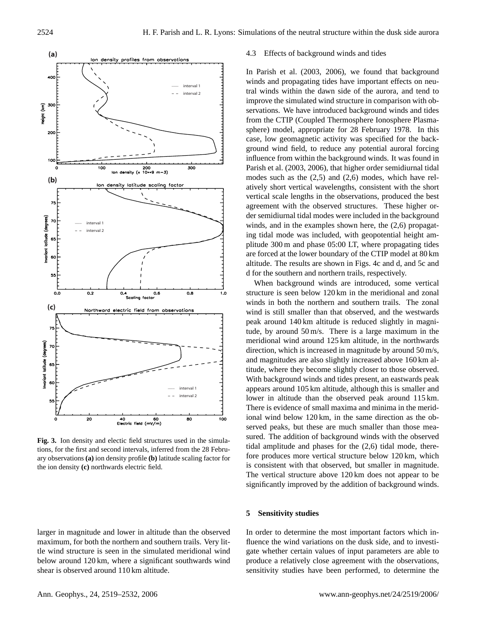

**Fig. 3.** Ion density and electic field structures used in the simulations, for the first and second intervals, inferred from the 28 February observations **(a)** ion density profile **(b)** latitude scaling factor for the ion density **(c)** northwards electric field.

larger in magnitude and lower in altitude than the observed maximum, for both the northern and southern trails. Very little wind structure is seen in the simulated meridional wind below around 120 km, where a significant southwards wind shear is observed around 110 km altitude.

#### 4.3 Effects of background winds and tides

In Parish et al. (2003, 2006), we found that background winds and propagating tides have important effects on neutral winds within the dawn side of the aurora, and tend to improve the simulated wind structure in comparison with observations. We have introduced background winds and tides from the CTIP (Coupled Thermosphere Ionosphere Plasmasphere) model, appropriate for 28 February 1978. In this case, low geomagnetic activity was specified for the background wind field, to reduce any potential auroral forcing influence from within the background winds. It was found in Parish et al. (2003, 2006), that higher order semidiurnal tidal modes such as the  $(2,5)$  and  $(2,6)$  modes, which have relatively short vertical wavelengths, consistent with the short vertical scale lengths in the observations, produced the best agreement with the observed structures. These higher order semidiurnal tidal modes were included in the background winds, and in the examples shown here, the (2,6) propagating tidal mode was included, with geopotential height amplitude 300 m and phase 05:00 LT, where propagating tides are forced at the lower boundary of the CTIP model at 80 km altitude. The results are shown in Figs. 4c and d, and 5c and d for the southern and northern trails, respectively.

When background winds are introduced, some vertical structure is seen below 120 km in the meridional and zonal winds in both the northern and southern trails. The zonal wind is still smaller than that observed, and the westwards peak around 140 km altitude is reduced slightly in magnitude, by around 50 m/s. There is a large maximum in the meridional wind around 125 km altitude, in the northwards direction, which is increased in magnitude by around 50 m/s, and magnitudes are also slightly increased above 160 km altitude, where they become slightly closer to those observed. With background winds and tides present, an eastwards peak appears around 105 km altitude, although this is smaller and lower in altitude than the observed peak around 115 km. There is evidence of small maxima and minima in the meridional wind below 120 km, in the same direction as the observed peaks, but these are much smaller than those measured. The addition of background winds with the observed tidal amplitude and phases for the (2,6) tidal mode, therefore produces more vertical structure below 120 km, which is consistent with that observed, but smaller in magnitude. The vertical structure above 120 km does not appear to be significantly improved by the addition of background winds.

#### **5 Sensitivity studies**

In order to determine the most important factors which influence the wind variations on the dusk side, and to investigate whether certain values of input parameters are able to produce a relatively close agreement with the observations, sensitivity studies have been performed, to determine the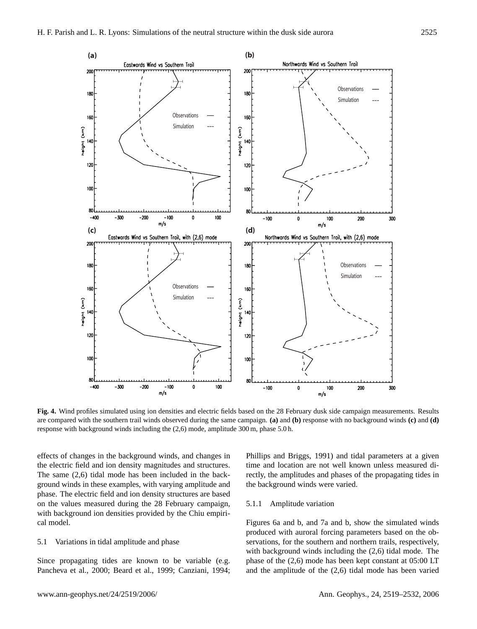

**Fig. 4.** Wind profiles simulated using ion densities and electric fields based on the 28 February dusk side campaign measurements. Results are compared with the southern trail winds observed during the same campaign. **(a)** and **(b)** response with no background winds **(c)** and **(d)** response with background winds including the (2,6) mode, amplitude 300 m, phase 5.0 h.

effects of changes in the background winds, and changes in the electric field and ion density magnitudes and structures. The same (2,6) tidal mode has been included in the background winds in these examples, with varying amplitude and phase. The electric field and ion density structures are based on the values measured during the 28 February campaign, with background ion densities provided by the Chiu empirical model.

## 5.1 Variations in tidal amplitude and phase

Since propagating tides are known to be variable (e.g. Pancheva et al., 2000; Beard et al., 1999; Canziani, 1994; Phillips and Briggs, 1991) and tidal parameters at a given time and location are not well known unless measured directly, the amplitudes and phases of the propagating tides in the background winds were varied.

#### 5.1.1 Amplitude variation

Figures 6a and b, and 7a and b, show the simulated winds produced with auroral forcing parameters based on the observations, for the southern and northern trails, respectively, with background winds including the (2,6) tidal mode. The phase of the (2,6) mode has been kept constant at 05:00 LT and the amplitude of the (2,6) tidal mode has been varied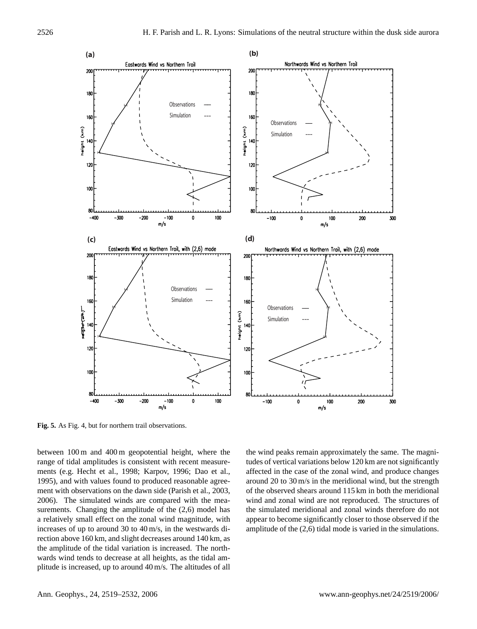

**Fig. 5.** As Fig. 4, but for northern trail observations.

between 100 m and 400 m geopotential height, where the range of tidal amplitudes is consistent with recent measurements (e.g. Hecht et al., 1998; Karpov, 1996; Dao et al., 1995), and with values found to produced reasonable agreement with observations on the dawn side (Parish et al., 2003, 2006). The simulated winds are compared with the measurements. Changing the amplitude of the  $(2,6)$  model has a relatively small effect on the zonal wind magnitude, with increases of up to around 30 to 40 m/s, in the westwards direction above 160 km, and slight decreases around 140 km, as the amplitude of the tidal variation is increased. The northwards wind tends to decrease at all heights, as the tidal amplitude is increased, up to around 40 m/s. The altitudes of all the wind peaks remain approximately the same. The magnitudes of vertical variations below 120 km are not significantly affected in the case of the zonal wind, and produce changes around 20 to 30 m/s in the meridional wind, but the strength of the observed shears around 115 km in both the meridional wind and zonal wind are not reproduced. The structures of the simulated meridional and zonal winds therefore do not appear to become significantly closer to those observed if the amplitude of the (2,6) tidal mode is varied in the simulations.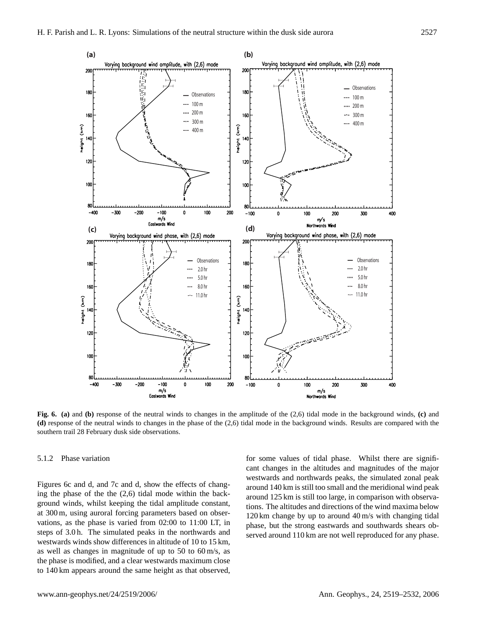

**Fig. 6. (a)** and **(b)** response of the neutral winds to changes in the amplitude of the (2,6) tidal mode in the background winds, **(c)** and **(d)** response of the neutral winds to changes in the phase of the (2,6) tidal mode in the background winds. Results are compared with the southern trail 28 February dusk side observations.

#### 5.1.2 Phase variation

Figures 6c and d, and 7c and d, show the effects of changing the phase of the the (2,6) tidal mode within the background winds, whilst keeping the tidal amplitude constant, at 300 m, using auroral forcing parameters based on observations, as the phase is varied from 02:00 to 11:00 LT, in steps of 3.0 h. The simulated peaks in the northwards and westwards winds show differences in altitude of 10 to 15 km, as well as changes in magnitude of up to 50 to 60 m/s, as the phase is modified, and a clear westwards maximum close to 140 km appears around the same height as that observed, for some values of tidal phase. Whilst there are significant changes in the altitudes and magnitudes of the major westwards and northwards peaks, the simulated zonal peak around 140 km is still too small and the meridional wind peak around 125 km is still too large, in comparison with observations. The altitudes and directions of the wind maxima below 120 km change by up to around 40 m/s with changing tidal phase, but the strong eastwards and southwards shears observed around 110 km are not well reproduced for any phase.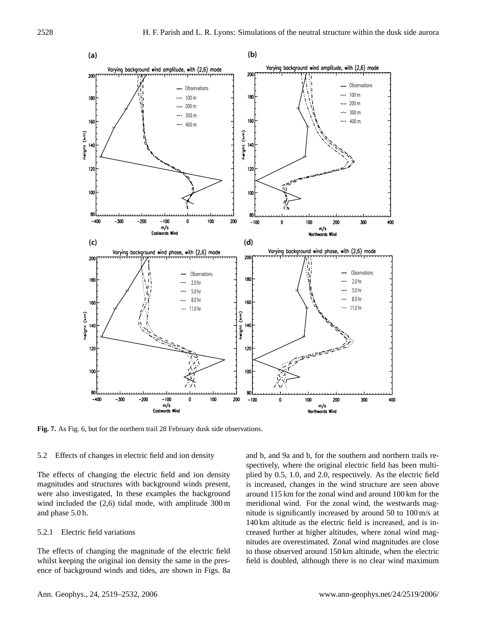

**Fig. 7.** As Fig. 6, but for the northern trail 28 February dusk side observations.

#### 5.2 Effects of changes in electric field and ion density

The effects of changing the electric field and ion density magnitudes and structures with background winds present, were also investigated, In these examples the background wind included the (2,6) tidal mode, with amplitude 300 m and phase 5.0 h.

## 5.2.1 Electric field variations

The effects of changing the magnitude of the electric field whilst keeping the original ion density the same in the presence of background winds and tides, are shown in Figs. 8a and b, and 9a and b, for the southern and northern trails respectively, where the original electric field has been multiplied by 0.5, 1.0, and 2.0, respectively. As the electric field is increased, changes in the wind structure are seen above around 115 km for the zonal wind and around 100 km for the meridional wind. For the zonal wind, the westwards magnitude is significantly increased by around 50 to 100 m/s at 140 km altitude as the electric field is increased, and is increased further at higher altitudes, where zonal wind magnitudes are overestimated. Zonal wind magnitudes are close to those observed around 150 km altitude, when the electric field is doubled, although there is no clear wind maximum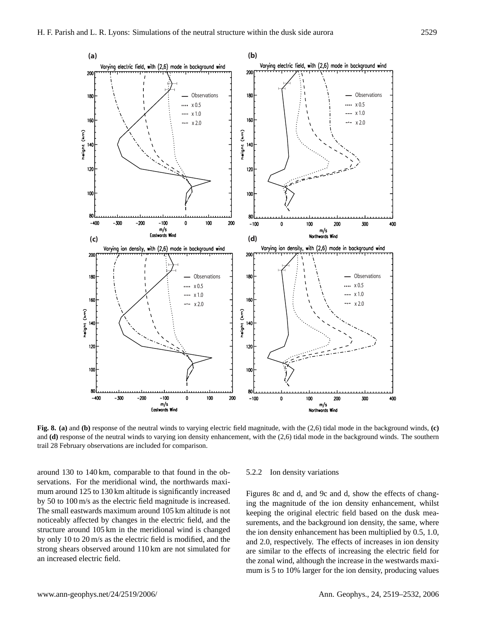

**Fig. 8. (a)** and **(b)** response of the neutral winds to varying electric field magnitude, with the (2,6) tidal mode in the background winds, **(c)** and **(d)** response of the neutral winds to varying ion density enhancement, with the (2,6) tidal mode in the background winds. The southern trail 28 February observations are included for comparison.

around 130 to 140 km, comparable to that found in the observations. For the meridional wind, the northwards maximum around 125 to 130 km altitude is significantly increased by 50 to 100 m/s as the electric field magnitude is increased. The small eastwards maximum around 105 km altitude is not noticeably affected by changes in the electric field, and the structure around 105 km in the meridional wind is changed by only 10 to 20 m/s as the electric field is modified, and the strong shears observed around 110 km are not simulated for an increased electric field.

#### 5.2.2 Ion density variations

Figures 8c and d, and 9c and d, show the effects of changing the magnitude of the ion density enhancement, whilst keeping the original electric field based on the dusk measurements, and the background ion density, the same, where the ion density enhancement has been multiplied by 0.5, 1.0, and 2.0, respectively. The effects of increases in ion density are similar to the effects of increasing the electric field for the zonal wind, although the increase in the westwards maximum is 5 to 10% larger for the ion density, producing values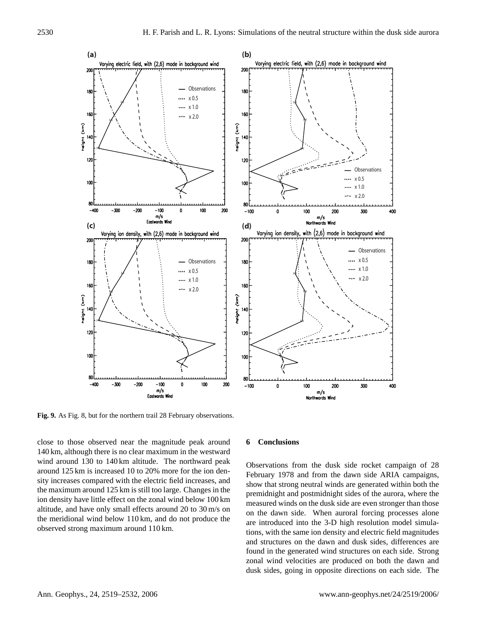

**Fig. 9.** As Fig. 8, but for the northern trail 28 February observations.

close to those observed near the magnitude peak around 140 km, although there is no clear maximum in the westward wind around 130 to 140 km altitude. The northward peak around 125 km is increased 10 to 20% more for the ion density increases compared with the electric field increases, and the maximum around 125 km is still too large. Changes in the ion density have little effect on the zonal wind below 100 km altitude, and have only small effects around 20 to 30 m/s on the meridional wind below 110 km, and do not produce the observed strong maximum around 110 km.

### **6 Conclusions**

Observations from the dusk side rocket campaign of 28 February 1978 and from the dawn side ARIA campaigns, show that strong neutral winds are generated within both the premidnight and postmidnight sides of the aurora, where the measured winds on the dusk side are even stronger than those on the dawn side. When auroral forcing processes alone are introduced into the 3-D high resolution model simulations, with the same ion density and electric field magnitudes and structures on the dawn and dusk sides, differences are found in the generated wind structures on each side. Strong zonal wind velocities are produced on both the dawn and dusk sides, going in opposite directions on each side. The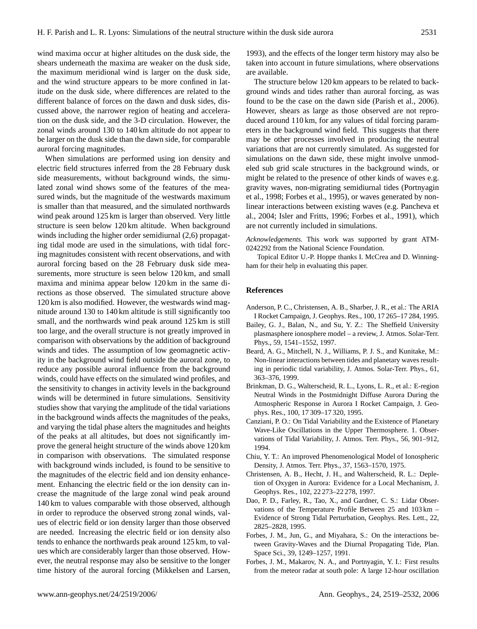wind maxima occur at higher altitudes on the dusk side, the shears underneath the maxima are weaker on the dusk side, the maximum meridional wind is larger on the dusk side, and the wind structure appears to be more confined in latitude on the dusk side, where differences are related to the different balance of forces on the dawn and dusk sides, discussed above, the narrower region of heating and acceleration on the dusk side, and the 3-D circulation. However, the zonal winds around 130 to 140 km altitude do not appear to be larger on the dusk side than the dawn side, for comparable auroral forcing magnitudes.

When simulations are performed using ion density and electric field structures inferred from the 28 February dusk side measurements, without background winds, the simulated zonal wind shows some of the features of the measured winds, but the magnitude of the westwards maximum is smaller than that measured, and the simulated northwards wind peak around 125 km is larger than observed. Very little structure is seen below 120 km altitude. When background winds including the higher order semidiurnal (2,6) propagating tidal mode are used in the simulations, with tidal forcing magnitudes consistent with recent observations, and with auroral forcing based on the 28 February dusk side measurements, more structure is seen below 120 km, and small maxima and minima appear below 120 km in the same directions as those observed. The simulated structure above 120 km is also modified. However, the westwards wind magnitude around 130 to 140 km altitude is still significantly too small, and the northwards wind peak around 125 km is still too large, and the overall structure is not greatly improved in comparison with observations by the addition of background winds and tides. The assumption of low geomagnetic activity in the background wind field outside the auroral zone, to reduce any possible auroral influence from the background winds, could have effects on the simulated wind profiles, and the sensitivity to changes in activity levels in the background winds will be determined in future simulations. Sensitivity studies show that varying the amplitude of the tidal variations in the background winds affects the magnitudes of the peaks, and varying the tidal phase alters the magnitudes and heights of the peaks at all altitudes, but does not significantly improve the general height structure of the winds above 120 km in comparison with observations. The simulated response with background winds included, is found to be sensitive to the magnitudes of the electric field and ion density enhancement. Enhancing the electric field or the ion density can increase the magnitude of the large zonal wind peak around 140 km to values comparable with those observed, although in order to reproduce the observed strong zonal winds, values of electric field or ion density larger than those observed are needed. Increasing the electric field or ion density also tends to enhance the northwards peak around 125 km, to values which are considerably larger than those observed. However, the neutral response may also be sensitive to the longer time history of the auroral forcing (Mikkelsen and Larsen,

1993), and the effects of the longer term history may also be taken into account in future simulations, where observations are available.

The structure below 120 km appears to be related to background winds and tides rather than auroral forcing, as was found to be the case on the dawn side (Parish et al., 2006). However, shears as large as those observed are not reproduced around 110 km, for any values of tidal forcing parameters in the background wind field. This suggests that there may be other processes involved in producing the neutral variations that are not currently simulated. As suggested for simulations on the dawn side, these might involve unmodeled sub grid scale structures in the background winds, or might be related to the presence of other kinds of waves e.g. gravity waves, non-migrating semidiurnal tides (Portnyagin et al., 1998; Forbes et al., 1995), or waves generated by nonlinear interactions between existing waves (e.g. Pancheva et al., 2004; Isler and Fritts, 1996; Forbes et al., 1991), which are not currently included in simulations.

*Acknowledgements.* This work was supported by grant ATM-0242292 from the National Science Foundation.

Topical Editor U.-P. Hoppe thanks I. McCrea and D. Winningham for their help in evaluating this paper.

#### **References**

- Anderson, P. C., Christensen, A. B., Sharber, J. R., et al.: The ARIA I Rocket Campaign, J. Geophys. Res., 100, 17 265–17 284, 1995.
- Bailey, G. J., Balan, N., and Su, Y. Z.: The Sheffield University plasmasphere ionosphere model – a review, J. Atmos. Solar-Terr. Phys., 59, 1541–1552, 1997.
- Beard, A. G., Mitchell, N. J., Williams, P. J. S., and Kunitake, M.: Non-linear interactions between tides and planetary waves resulting in periodic tidal variability, J. Atmos. Solar-Terr. Phys., 61, 363–376, 1999.
- Brinkman, D. G., Walterscheid, R. L., Lyons, L. R., et al.: E-region Neutral Winds in the Postmidnight Diffuse Aurora During the Atmospheric Response in Aurora I Rocket Campaign, J. Geophys. Res., 100, 17 309–17 320, 1995.
- Canziani, P. O.: On Tidal Variability and the Existence of Planetary Wave-Like Oscillations in the Upper Thermosphere. 1. Observations of Tidal Variability, J. Atmos. Terr. Phys., 56, 901–912, 1994.
- Chiu, Y. T.: An improved Phenomenological Model of Ionospheric Density, J. Atmos. Terr. Phys., 37, 1563–1570, 1975.
- Christensen, A. B., Hecht, J. H., and Walterscheid, R. L.: Depletion of Oxygen in Aurora: Evidence for a Local Mechanism, J. Geophys. Res., 102, 22 273–22 278, 1997.
- Dao, P. D., Farley, R., Tao, X., and Gardner, C. S.: Lidar Observations of the Temperature Profile Between 25 and 103 km – Evidence of Strong Tidal Perturbation, Geophys. Res. Lett., 22, 2825–2828, 1995.
- Forbes, J. M., Jun, G., and Miyahara, S.: On the interactions between Gravity-Waves and the Diurnal Propagating Tide, Plan. Space Sci., 39, 1249–1257, 1991.
- Forbes, J. M., Makarov, N. A., and Portnyagin, Y. I.: First results from the meteor radar at south pole: A large 12-hour oscillation